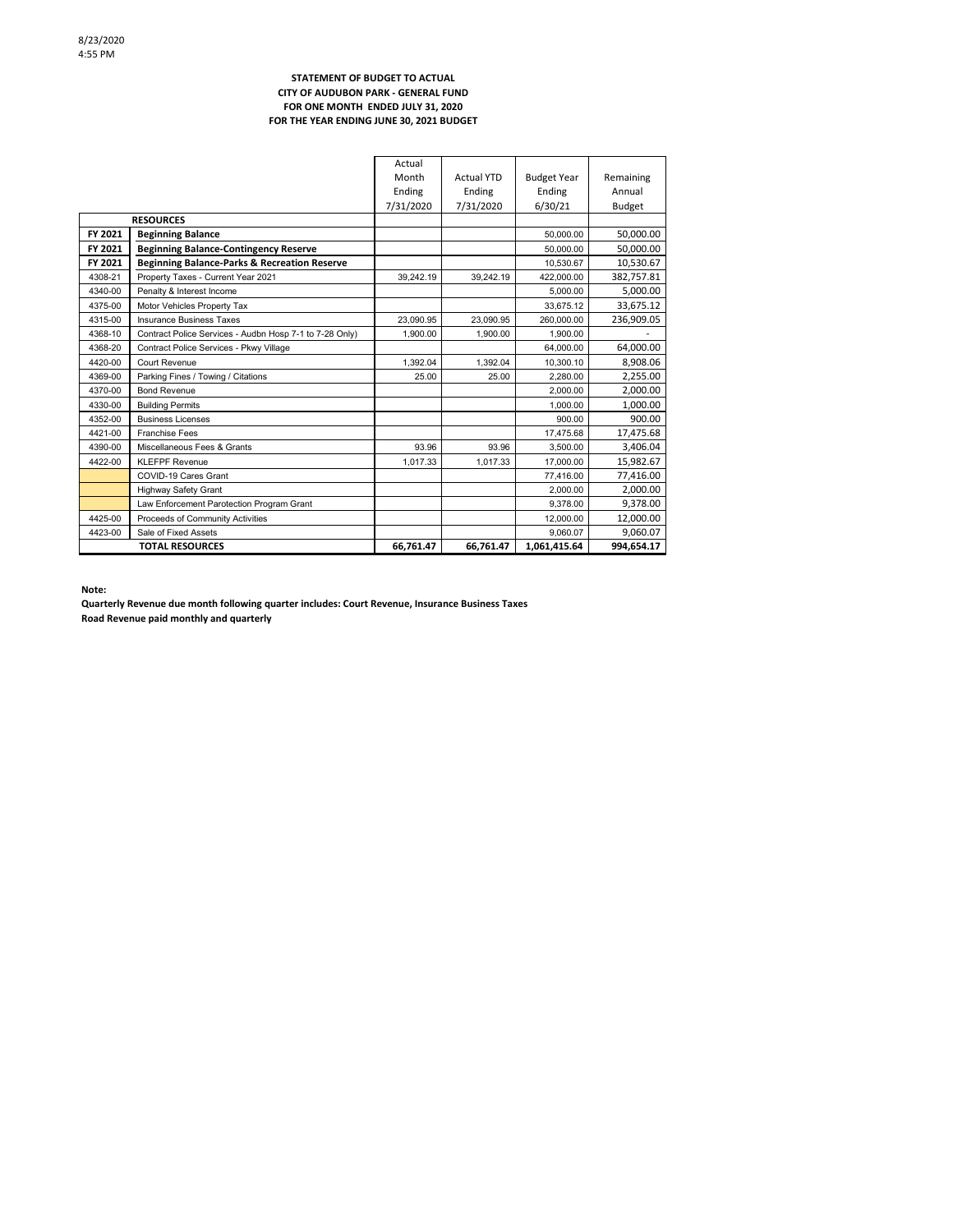### **STATEMENT OF BUDGET TO ACTUAL CITY OF AUDUBON PARK - GENERAL FUND FOR ONE MONTH ENDED JULY 31, 2020 FOR THE YEAR ENDING JUNE 30, 2021 BUDGET**

|         | <b>TOTAL RESOURCES</b>                                  | 66,761.47 | 66,761.47         | 1,061,415.64       | 994.654.17    |
|---------|---------------------------------------------------------|-----------|-------------------|--------------------|---------------|
| 4423-00 | Sale of Fixed Assets                                    |           |                   | 9.060.07           | 9,060.07      |
| 4425-00 | Proceeds of Community Activities                        |           |                   | 12,000.00          | 12,000.00     |
|         | Law Enforcement Parotection Program Grant               |           |                   | 9.378.00           | 9,378.00      |
|         | <b>Highway Safety Grant</b>                             |           |                   | 2.000.00           | 2,000.00      |
|         | COVID-19 Cares Grant                                    |           |                   | 77,416.00          | 77,416.00     |
| 4422-00 | <b>KLEFPF Revenue</b>                                   | 1,017.33  | 1.017.33          | 17,000.00          | 15,982.67     |
| 4390-00 | Miscellaneous Fees & Grants                             | 93.96     | 93.96             | 3.500.00           | 3,406.04      |
| 4421-00 | <b>Franchise Fees</b>                                   |           |                   | 17,475.68          | 17,475.68     |
| 4352-00 | <b>Business Licenses</b>                                |           |                   | 900.00             | 900.00        |
| 4330-00 | <b>Building Permits</b>                                 |           |                   | 1.000.00           | 1.000.00      |
| 4370-00 | <b>Bond Revenue</b>                                     |           |                   | 2.000.00           | 2,000.00      |
| 4369-00 | Parking Fines / Towing / Citations                      | 25.00     | 25.00             | 2.280.00           | 2,255.00      |
| 4420-00 | Court Revenue                                           | 1.392.04  | 1.392.04          | 10.300.10          | 8,908.06      |
| 4368-20 | Contract Police Services - Pkwy Village                 |           |                   | 64.000.00          | 64.000.00     |
| 4368-10 | Contract Police Services - Audbn Hosp 7-1 to 7-28 Only) | 1.900.00  | 1.900.00          | 1.900.00           |               |
| 4315-00 | <b>Insurance Business Taxes</b>                         | 23.090.95 | 23.090.95         | 260.000.00         | 236,909.05    |
| 4375-00 | Motor Vehicles Property Tax                             |           |                   | 33.675.12          | 33,675.12     |
| 4340-00 | Penalty & Interest Income                               |           |                   | 5.000.00           | 5,000.00      |
| 4308-21 | Property Taxes - Current Year 2021                      | 39.242.19 | 39.242.19         | 422.000.00         | 382,757.81    |
| FY 2021 | <b>Beginning Balance-Parks &amp; Recreation Reserve</b> |           |                   | 10.530.67          | 10,530.67     |
| FY 2021 | <b>Beginning Balance-Contingency Reserve</b>            |           |                   | 50.000.00          | 50,000.00     |
| FY 2021 | <b>Beginning Balance</b>                                |           |                   | 50.000.00          | 50,000.00     |
|         | <b>RESOURCES</b>                                        |           |                   |                    |               |
|         |                                                         | 7/31/2020 | 7/31/2020         | 6/30/21            | <b>Budget</b> |
|         |                                                         | Ending    | Ending            | Ending             | Annual        |
|         |                                                         | Month     | <b>Actual YTD</b> | <b>Budget Year</b> | Remaining     |
|         |                                                         | Actual    |                   |                    |               |

**Note:**

**Quarterly Revenue due month following quarter includes: Court Revenue, Insurance Business Taxes Road Revenue paid monthly and quarterly**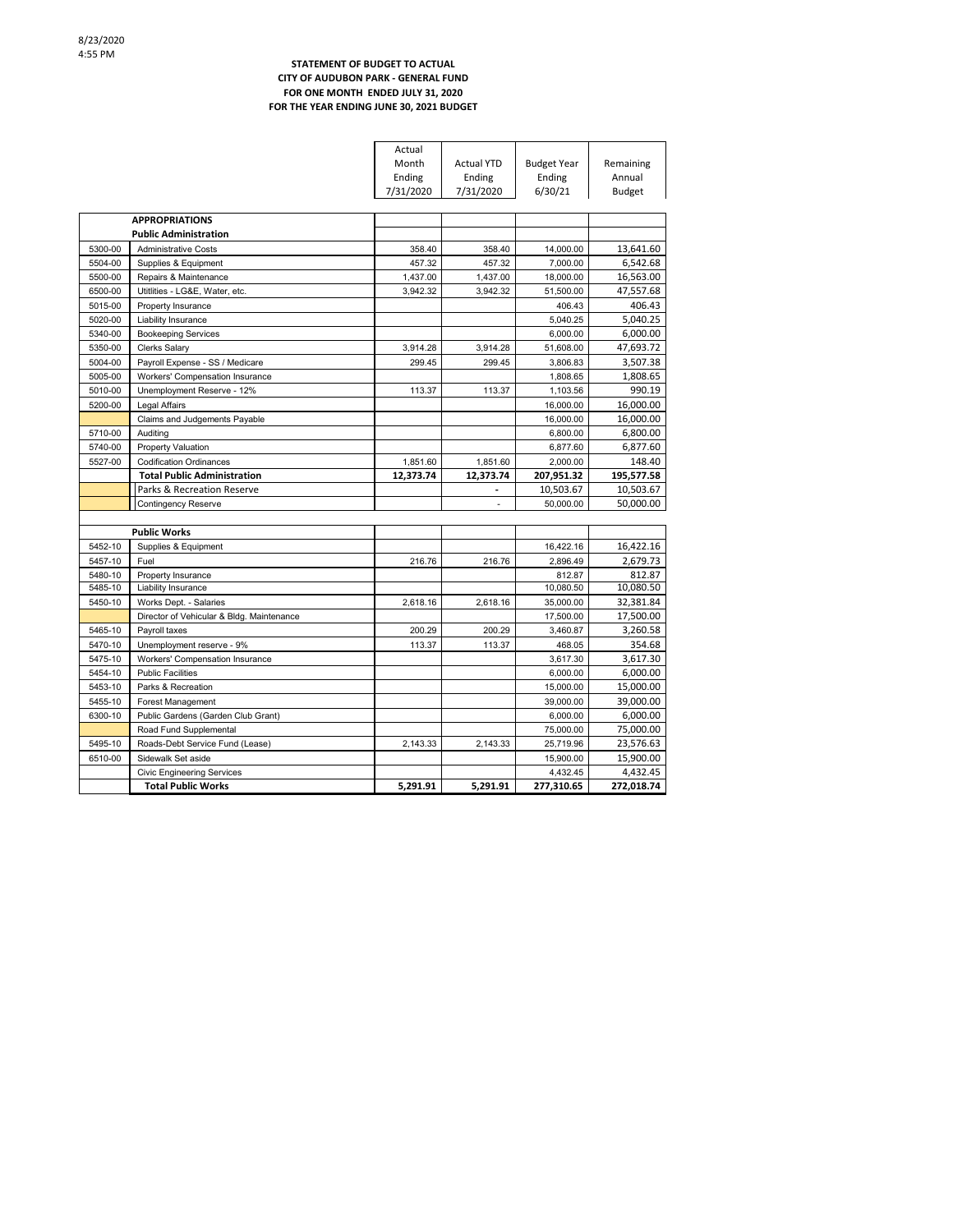### **STATEMENT OF BUDGET TO ACTUAL CITY OF AUDUBON PARK - GENERAL FUND FOR ONE MONTH ENDED JULY 31, 2020 FOR THE YEAR ENDING JUNE 30, 2021 BUDGET**

ř.

|         |                                           | Actual    |                   |                    |            |
|---------|-------------------------------------------|-----------|-------------------|--------------------|------------|
|         |                                           | Month     | <b>Actual YTD</b> | <b>Budget Year</b> | Remaining  |
|         |                                           | Ending    | Ending            | Ending             | Annual     |
|         |                                           | 7/31/2020 | 7/31/2020         | 6/30/21            | Budget     |
|         |                                           |           |                   |                    |            |
|         | <b>APPROPRIATIONS</b>                     |           |                   |                    |            |
|         | <b>Public Administration</b>              |           |                   |                    |            |
| 5300-00 | <b>Administrative Costs</b>               | 358.40    | 358.40            | 14,000.00          | 13,641.60  |
| 5504-00 | Supplies & Equipment                      | 457.32    | 457.32            | 7,000.00           | 6,542.68   |
| 5500-00 | Repairs & Maintenance                     | 1,437.00  | 1,437.00          | 18,000.00          | 16,563.00  |
| 6500-00 | Utitlities - LG&E, Water, etc.            | 3.942.32  | 3.942.32          | 51,500.00          | 47,557.68  |
| 5015-00 | Property Insurance                        |           |                   | 406.43             | 406.43     |
| 5020-00 | Liability Insurance                       |           |                   | 5,040.25           | 5,040.25   |
| 5340-00 | <b>Bookeeping Services</b>                |           |                   | 6,000.00           | 6,000.00   |
| 5350-00 | <b>Clerks Salary</b>                      | 3,914.28  | 3,914.28          | 51,608.00          | 47,693.72  |
| 5004-00 | Payroll Expense - SS / Medicare           | 299.45    | 299.45            | 3,806.83           | 3,507.38   |
| 5005-00 | Workers' Compensation Insurance           |           |                   | 1,808.65           | 1,808.65   |
| 5010-00 | Unemployment Reserve - 12%                | 113.37    | 113.37            | 1,103.56           | 990.19     |
| 5200-00 | Legal Affairs                             |           |                   | 16,000.00          | 16,000.00  |
|         | Claims and Judgements Payable             |           |                   | 16,000.00          | 16,000.00  |
| 5710-00 | Auditing                                  |           |                   | 6,800.00           | 6,800.00   |
| 5740-00 | Property Valuation                        |           |                   | 6.877.60           | 6,877.60   |
| 5527-00 | <b>Codification Ordinances</b>            | 1,851.60  | 1,851.60          | 2,000.00           | 148.40     |
|         | <b>Total Public Administration</b>        | 12,373.74 | 12,373.74         | 207,951.32         | 195,577.58 |
|         | Parks & Recreation Reserve                |           |                   | 10,503.67          | 10,503.67  |
|         | Contingency Reserve                       |           | ä,                | 50,000.00          | 50,000.00  |
|         |                                           |           |                   |                    |            |
|         | <b>Public Works</b>                       |           |                   |                    |            |
| 5452-10 | Supplies & Equipment                      |           |                   | 16,422.16          | 16,422.16  |
| 5457-10 | Fuel                                      | 216.76    | 216.76            | 2,896.49           | 2,679.73   |
| 5480-10 | Property Insurance                        |           |                   | 812.87             | 812.87     |
| 5485-10 | Liability Insurance                       |           |                   | 10,080.50          | 10,080.50  |
| 5450-10 | Works Dept. - Salaries                    | 2,618.16  | 2,618.16          | 35,000.00          | 32,381.84  |
|         | Director of Vehicular & Bldg. Maintenance |           |                   | 17,500.00          | 17,500.00  |
| 5465-10 | Payroll taxes                             | 200.29    | 200.29            | 3,460.87           | 3,260.58   |
| 5470-10 | Unemployment reserve - 9%                 | 113.37    | 113.37            | 468.05             | 354.68     |
| 5475-10 | Workers' Compensation Insurance           |           |                   | 3,617.30           | 3,617.30   |
| 5454-10 | <b>Public Facilities</b>                  |           |                   | 6,000.00           | 6,000.00   |
| 5453-10 | Parks & Recreation                        |           |                   | 15,000.00          | 15,000.00  |
| 5455-10 | Forest Management                         |           |                   | 39,000.00          | 39,000.00  |
| 6300-10 | Public Gardens (Garden Club Grant)        |           |                   | 6.000.00           | 6.000.00   |
|         | Road Fund Supplemental                    |           |                   | 75,000.00          | 75,000.00  |
| 5495-10 | Roads-Debt Service Fund (Lease)           | 2,143.33  | 2,143.33          | 25,719.96          | 23,576.63  |
| 6510-00 | Sidewalk Set aside                        |           |                   | 15,900.00          | 15,900.00  |
|         | <b>Civic Engineering Services</b>         |           |                   | 4,432.45           | 4,432.45   |
|         |                                           |           |                   |                    |            |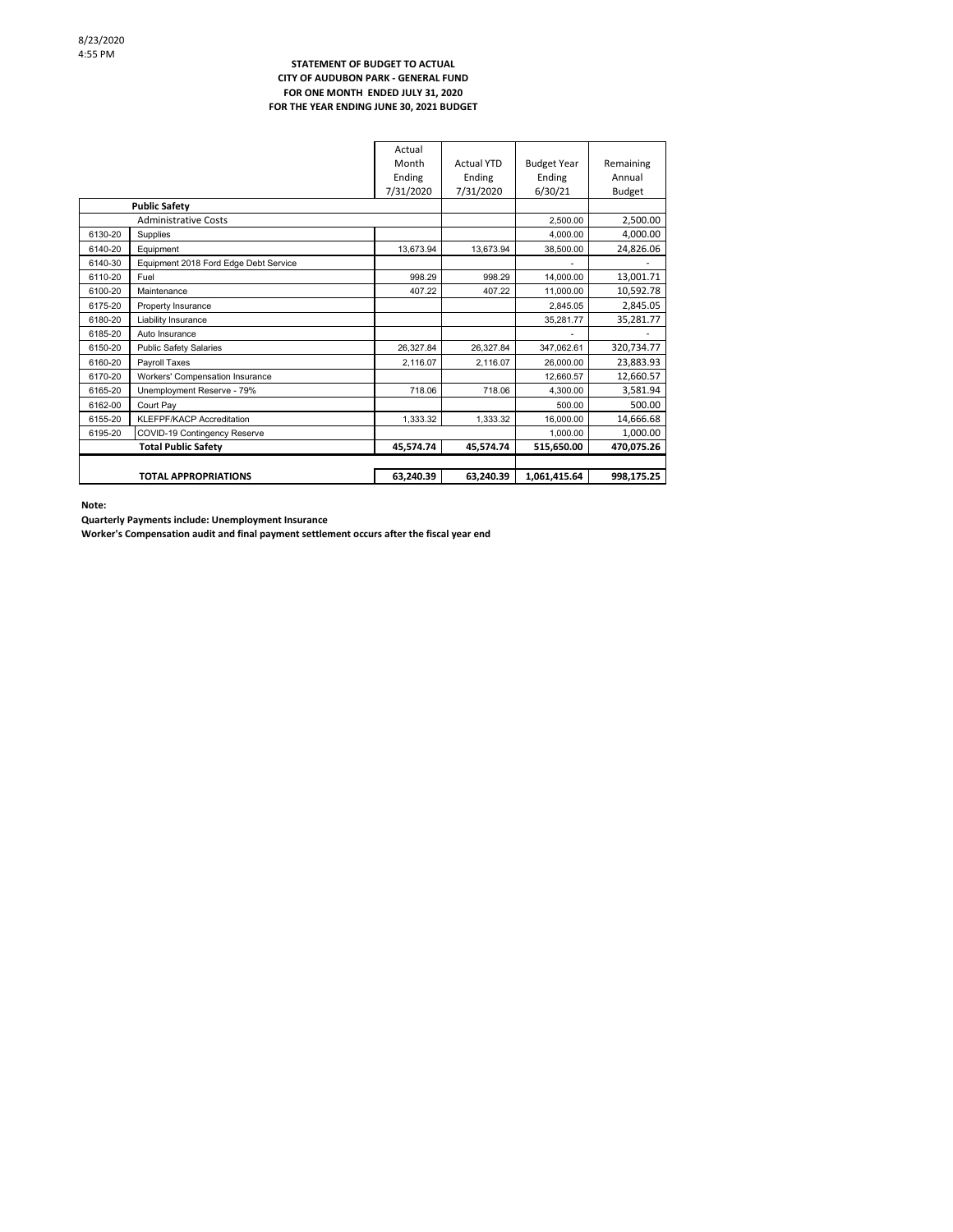#### **STATEMENT OF BUDGET TO ACTUAL CITY OF AUDUBON PARK - GENERAL FUND FOR ONE MONTH ENDED JULY 31, 2020 FOR THE YEAR ENDING JUNE 30, 2021 BUDGET**

|         |                                       | Actual    |                   |                    |            |
|---------|---------------------------------------|-----------|-------------------|--------------------|------------|
|         |                                       | Month     | <b>Actual YTD</b> | <b>Budget Year</b> | Remaining  |
|         |                                       | Ending    | Ending            | Ending             | Annual     |
|         |                                       | 7/31/2020 | 7/31/2020         | 6/30/21            | Budget     |
|         | <b>Public Safety</b>                  |           |                   |                    |            |
|         | <b>Administrative Costs</b>           |           |                   | 2,500.00           | 2,500.00   |
| 6130-20 | Supplies                              |           |                   | 4.000.00           | 4,000.00   |
| 6140-20 | Equipment                             | 13,673.94 | 13,673.94         | 38,500.00          | 24,826.06  |
| 6140-30 | Equipment 2018 Ford Edge Debt Service |           |                   |                    |            |
| 6110-20 | Fuel                                  | 998.29    | 998.29            | 14,000.00          | 13,001.71  |
| 6100-20 | Maintenance                           | 407.22    | 407.22            | 11,000.00          | 10,592.78  |
| 6175-20 | Property Insurance                    |           |                   | 2,845.05           | 2,845.05   |
| 6180-20 | Liability Insurance                   |           |                   | 35,281.77          | 35,281.77  |
| 6185-20 | Auto Insurance                        |           |                   |                    |            |
| 6150-20 | <b>Public Safety Salaries</b>         | 26,327.84 | 26,327.84         | 347,062.61         | 320,734.77 |
| 6160-20 | Payroll Taxes                         | 2,116.07  | 2,116.07          | 26,000.00          | 23,883.93  |
| 6170-20 | Workers' Compensation Insurance       |           |                   | 12.660.57          | 12,660.57  |
| 6165-20 | Unemployment Reserve - 79%            | 718.06    | 718.06            | 4.300.00           | 3,581.94   |
| 6162-00 | Court Pav                             |           |                   | 500.00             | 500.00     |
| 6155-20 | <b>KLEFPF/KACP Accreditation</b>      | 1.333.32  | 1.333.32          | 16.000.00          | 14,666.68  |
| 6195-20 | COVID-19 Contingency Reserve          |           |                   | 1.000.00           | 1,000.00   |
|         | <b>Total Public Safety</b>            | 45,574.74 | 45,574.74         | 515.650.00         | 470,075.26 |
|         |                                       |           |                   |                    |            |
|         | <b>TOTAL APPROPRIATIONS</b>           | 63,240.39 | 63,240.39         | 1,061,415.64       | 998,175.25 |

**Note:**

**Quarterly Payments include: Unemployment Insurance**

**Worker's Compensation audit and final payment settlement occurs after the fiscal year end**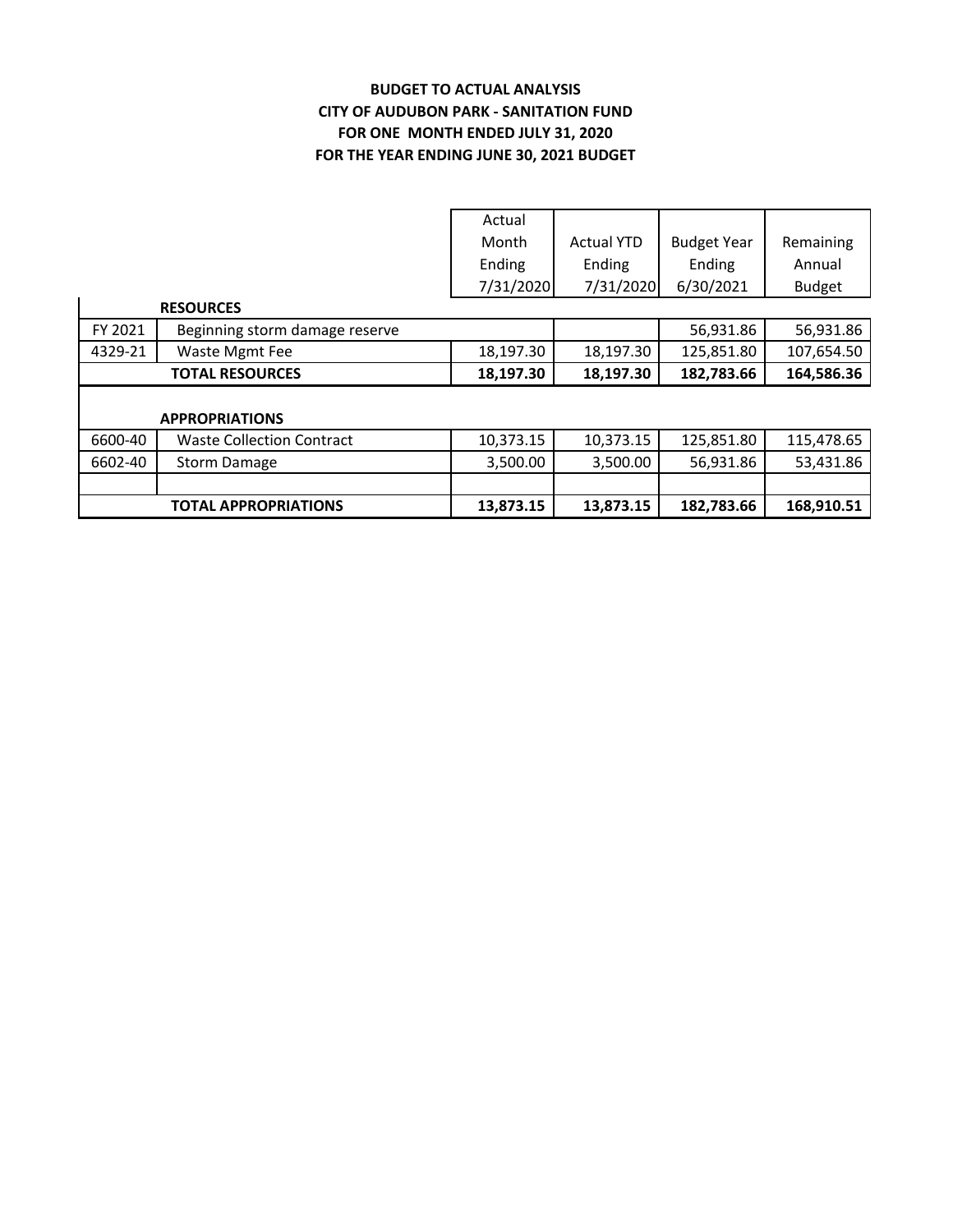# **BUDGET TO ACTUAL ANALYSIS CITY OF AUDUBON PARK - SANITATION FUND FOR THE YEAR ENDING JUNE 30, 2021 BUDGET FOR ONE MONTH ENDED JULY 31, 2020**

|         |                                  | Actual    |                   |                    |               |
|---------|----------------------------------|-----------|-------------------|--------------------|---------------|
|         |                                  | Month     | <b>Actual YTD</b> | <b>Budget Year</b> | Remaining     |
|         |                                  | Ending    | Ending            | Ending             | Annual        |
|         |                                  | 7/31/2020 | 7/31/2020         | 6/30/2021          | <b>Budget</b> |
|         | <b>RESOURCES</b>                 |           |                   |                    |               |
| FY 2021 | Beginning storm damage reserve   |           |                   | 56,931.86          | 56,931.86     |
| 4329-21 | Waste Mgmt Fee                   | 18,197.30 | 18,197.30         | 125,851.80         | 107,654.50    |
|         | <b>TOTAL RESOURCES</b>           | 18,197.30 | 18,197.30         | 182,783.66         | 164,586.36    |
|         |                                  |           |                   |                    |               |
|         | <b>APPROPRIATIONS</b>            |           |                   |                    |               |
| 6600-40 | <b>Waste Collection Contract</b> | 10,373.15 | 10,373.15         | 125,851.80         | 115,478.65    |
| 6602-40 | <b>Storm Damage</b>              | 3,500.00  | 3,500.00          | 56,931.86          | 53,431.86     |
|         |                                  |           |                   |                    |               |
|         | <b>TOTAL APPROPRIATIONS</b>      | 13,873.15 | 13,873.15         | 182,783.66         | 168,910.51    |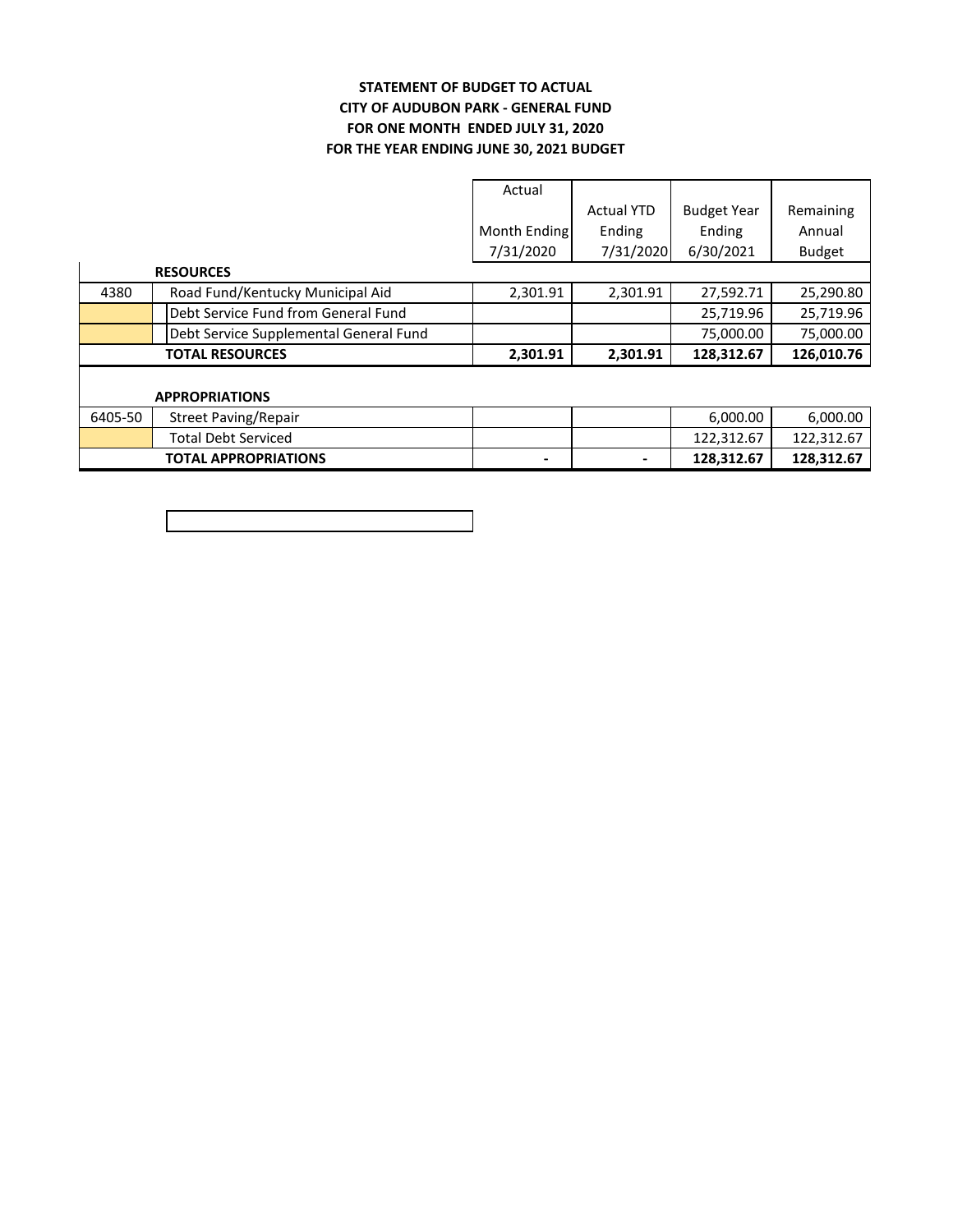### **FOR ONE MONTH ENDED JULY 31, 2020 STATEMENT OF BUDGET TO ACTUAL CITY OF AUDUBON PARK - GENERAL FUND FOR THE YEAR ENDING JUNE 30, 2021 BUDGET**

|         |                                        | Actual       |                   |                    |               |
|---------|----------------------------------------|--------------|-------------------|--------------------|---------------|
|         |                                        |              | <b>Actual YTD</b> | <b>Budget Year</b> | Remaining     |
|         |                                        | Month Ending | Ending            | Ending             | Annual        |
|         |                                        | 7/31/2020    | 7/31/2020         | 6/30/2021          | <b>Budget</b> |
|         | <b>RESOURCES</b>                       |              |                   |                    |               |
| 4380    | Road Fund/Kentucky Municipal Aid       | 2,301.91     | 2,301.91          | 27,592.71          | 25,290.80     |
|         | Debt Service Fund from General Fund    |              |                   | 25,719.96          | 25,719.96     |
|         | Debt Service Supplemental General Fund |              |                   | 75,000.00          | 75,000.00     |
|         | <b>TOTAL RESOURCES</b>                 | 2,301.91     | 2,301.91          | 128,312.67         | 126,010.76    |
|         |                                        |              |                   |                    |               |
|         | <b>APPROPRIATIONS</b>                  |              |                   |                    |               |
| 6405-50 | <b>Street Paving/Repair</b>            |              |                   | 6,000.00           | 6,000.00      |
|         | <b>Total Debt Serviced</b>             |              |                   | 122,312.67         | 122,312.67    |
|         | <b>TOTAL APPROPRIATIONS</b>            | -            |                   | 128,312.67         | 128,312.67    |